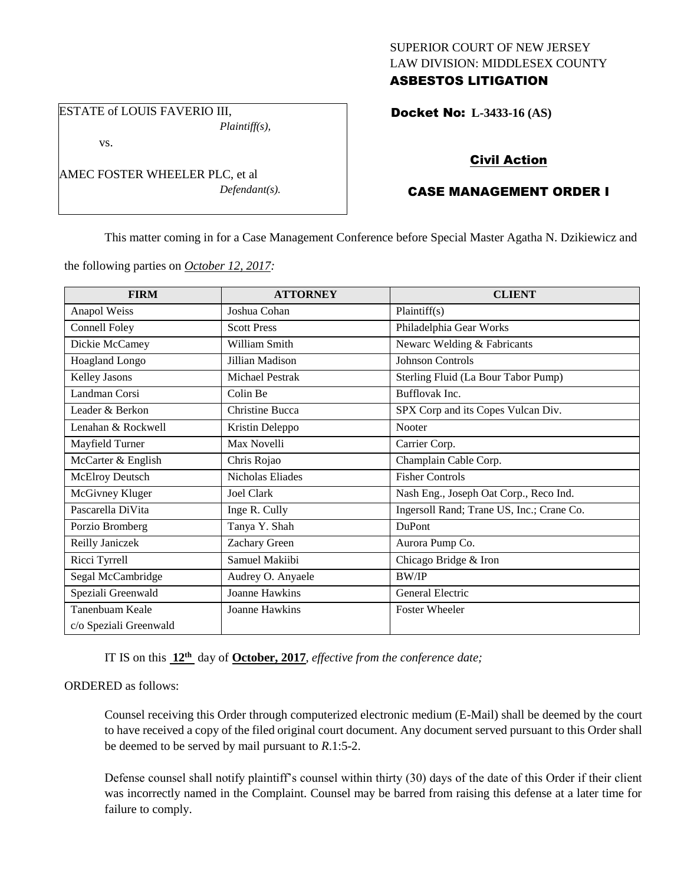## SUPERIOR COURT OF NEW JERSEY LAW DIVISION: MIDDLESEX COUNTY ASBESTOS LITIGATION

ESTATE of LOUIS FAVERIO III, *Plaintiff(s),*

vs.

AMEC FOSTER WHEELER PLC, et al *Defendant(s).*

## Docket No: **L-3433-16 (AS)**

# Civil Action

# CASE MANAGEMENT ORDER I

This matter coming in for a Case Management Conference before Special Master Agatha N. Dzikiewicz and

the following parties on *October 12, 2017:*

| <b>FIRM</b>            | <b>ATTORNEY</b>       | <b>CLIENT</b>                             |
|------------------------|-----------------------|-------------------------------------------|
| Anapol Weiss           | Joshua Cohan          | Plaintiff(s)                              |
| Connell Foley          | <b>Scott Press</b>    | Philadelphia Gear Works                   |
| Dickie McCamey         | William Smith         | Newarc Welding & Fabricants               |
| <b>Hoagland Longo</b>  | Jillian Madison       | <b>Johnson Controls</b>                   |
| <b>Kelley Jasons</b>   | Michael Pestrak       | Sterling Fluid (La Bour Tabor Pump)       |
| Landman Corsi          | Colin Be              | Bufflovak Inc.                            |
| Leader & Berkon        | Christine Bucca       | SPX Corp and its Copes Vulcan Div.        |
| Lenahan & Rockwell     | Kristin Deleppo       | <b>Nooter</b>                             |
| Mayfield Turner        | Max Novelli           | Carrier Corp.                             |
| McCarter & English     | Chris Rojao           | Champlain Cable Corp.                     |
| <b>McElroy Deutsch</b> | Nicholas Eliades      | <b>Fisher Controls</b>                    |
| McGivney Kluger        | Joel Clark            | Nash Eng., Joseph Oat Corp., Reco Ind.    |
| Pascarella DiVita      | Inge R. Cully         | Ingersoll Rand; Trane US, Inc.; Crane Co. |
| Porzio Bromberg        | Tanya Y. Shah         | DuPont                                    |
| Reilly Janiczek        | Zachary Green         | Aurora Pump Co.                           |
| Ricci Tyrrell          | Samuel Makiibi        | Chicago Bridge & Iron                     |
| Segal McCambridge      | Audrey O. Anyaele     | <b>BW/IP</b>                              |
| Speziali Greenwald     | <b>Joanne Hawkins</b> | General Electric                          |
| Tanenbuam Keale        | <b>Joanne Hawkins</b> | <b>Foster Wheeler</b>                     |
| c/o Speziali Greenwald |                       |                                           |

IT IS on this **12th** day of **October, 2017**, *effective from the conference date;*

#### ORDERED as follows:

Counsel receiving this Order through computerized electronic medium (E-Mail) shall be deemed by the court to have received a copy of the filed original court document. Any document served pursuant to this Order shall be deemed to be served by mail pursuant to *R*.1:5-2.

Defense counsel shall notify plaintiff's counsel within thirty (30) days of the date of this Order if their client was incorrectly named in the Complaint. Counsel may be barred from raising this defense at a later time for failure to comply.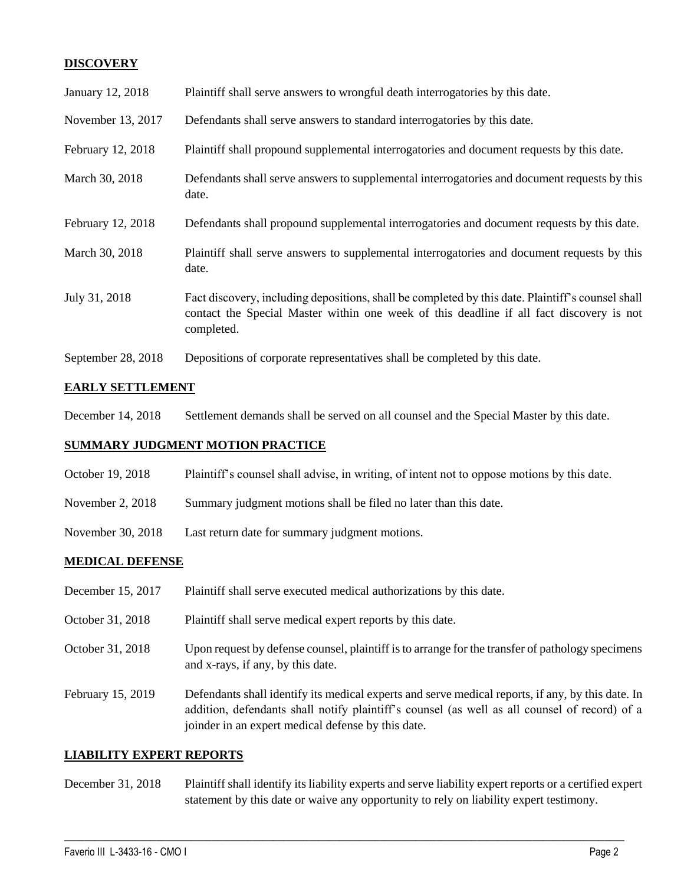## **DISCOVERY**

| January 12, 2018   | Plaintiff shall serve answers to wrongful death interrogatories by this date.                                                                                                                               |
|--------------------|-------------------------------------------------------------------------------------------------------------------------------------------------------------------------------------------------------------|
| November 13, 2017  | Defendants shall serve answers to standard interrogatories by this date.                                                                                                                                    |
| February 12, 2018  | Plaintiff shall propound supplemental interrogatories and document requests by this date.                                                                                                                   |
| March 30, 2018     | Defendants shall serve answers to supplemental interrogatories and document requests by this<br>date.                                                                                                       |
| February 12, 2018  | Defendants shall propound supplemental interrogatories and document requests by this date.                                                                                                                  |
| March 30, 2018     | Plaintiff shall serve answers to supplemental interrogatories and document requests by this<br>date.                                                                                                        |
| July 31, 2018      | Fact discovery, including depositions, shall be completed by this date. Plaintiff's counsel shall<br>contact the Special Master within one week of this deadline if all fact discovery is not<br>completed. |
| September 28, 2018 | Depositions of corporate representatives shall be completed by this date.                                                                                                                                   |

## **EARLY SETTLEMENT**

December 14, 2018 Settlement demands shall be served on all counsel and the Special Master by this date.

#### **SUMMARY JUDGMENT MOTION PRACTICE**

- October 19, 2018 Plaintiff's counsel shall advise, in writing, of intent not to oppose motions by this date.
- November 2, 2018 Summary judgment motions shall be filed no later than this date.
- November 30, 2018 Last return date for summary judgment motions.

#### **MEDICAL DEFENSE**

- December 15, 2017 Plaintiff shall serve executed medical authorizations by this date.
- October 31, 2018 Plaintiff shall serve medical expert reports by this date.
- October 31, 2018 Upon request by defense counsel, plaintiff is to arrange for the transfer of pathology specimens and x-rays, if any, by this date.

February 15, 2019 Defendants shall identify its medical experts and serve medical reports, if any, by this date. In addition, defendants shall notify plaintiff's counsel (as well as all counsel of record) of a joinder in an expert medical defense by this date.

#### **LIABILITY EXPERT REPORTS**

December 31, 2018 Plaintiff shall identify its liability experts and serve liability expert reports or a certified expert statement by this date or waive any opportunity to rely on liability expert testimony.

 $\_$  ,  $\_$  ,  $\_$  ,  $\_$  ,  $\_$  ,  $\_$  ,  $\_$  ,  $\_$  ,  $\_$  ,  $\_$  ,  $\_$  ,  $\_$  ,  $\_$  ,  $\_$  ,  $\_$  ,  $\_$  ,  $\_$  ,  $\_$  ,  $\_$  ,  $\_$  ,  $\_$  ,  $\_$  ,  $\_$  ,  $\_$  ,  $\_$  ,  $\_$  ,  $\_$  ,  $\_$  ,  $\_$  ,  $\_$  ,  $\_$  ,  $\_$  ,  $\_$  ,  $\_$  ,  $\_$  ,  $\_$  ,  $\_$  ,